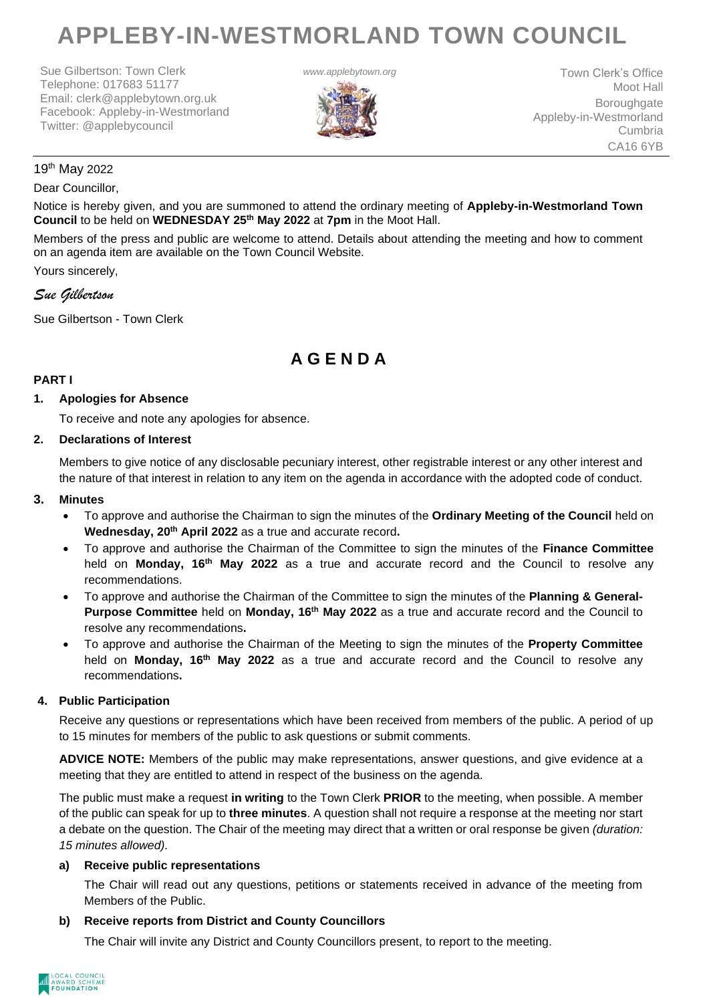# **APPLEBY-IN-WESTMORLAND TOWN COUNCIL**

Sue Gilbertson: Town Clerk Telephone: 017683 51177 Email: clerk@applebytown.org.uk Facebook: Appleby-in-Westmorland Twitter: @applebycouncil



**www.applebytown.org** Town Clerk's Office Moot Hall **Boroughgate** Appleby-in-Westmorland Cumbria CA16 6YB

## 19th May 2022

Dear Councillor,

Notice is hereby given, and you are summoned to attend the ordinary meeting of **Appleby-in-Westmorland Town Council** to be held on **WEDNESDAY 25th May 2022** at **7pm** in the Moot Hall.

Members of the press and public are welcome to attend. Details about attending the meeting and how to comment on an agenda item are available on the Town Council Website.

Yours sincerely,

## *Sue Gilbertson*

Sue Gilbertson - Town Clerk

# **A G E N D A**

#### **PART I**

#### **1. Apologies for Absence**

To receive and note any apologies for absence.

#### **2. Declarations of Interest**

Members to give notice of any disclosable pecuniary interest, other registrable interest or any other interest and the nature of that interest in relation to any item on the agenda in accordance with the adopted code of conduct.

#### **3. Minutes**

- To approve and authorise the Chairman to sign the minutes of the **Ordinary Meeting of the Council** held on **Wednesday, 20th April 2022** as a true and accurate record**.**
- To approve and authorise the Chairman of the Committee to sign the minutes of the **Finance Committee** held on **Monday, 16th May 2022** as a true and accurate record and the Council to resolve any recommendations.
- To approve and authorise the Chairman of the Committee to sign the minutes of the **Planning & General-Purpose Committee** held on **Monday, 16th May 2022** as a true and accurate record and the Council to resolve any recommendations**.**
- To approve and authorise the Chairman of the Meeting to sign the minutes of the **Property Committee** held on **Monday, 16th May 2022** as a true and accurate record and the Council to resolve any recommendations**.**

#### **4. Public Participation**

Receive any questions or representations which have been received from members of the public. A period of up to 15 minutes for members of the public to ask questions or submit comments.

**ADVICE NOTE:** Members of the public may make representations, answer questions, and give evidence at a meeting that they are entitled to attend in respect of the business on the agenda.

The public must make a request **in writing** to the Town Clerk **PRIOR** to the meeting, when possible. A member of the public can speak for up to **three minutes**. A question shall not require a response at the meeting nor start a debate on the question. The Chair of the meeting may direct that a written or oral response be given *(duration: 15 minutes allowed).*

#### **a) Receive public representations**

The Chair will read out any questions, petitions or statements received in advance of the meeting from Members of the Public.

#### **b) Receive reports from District and County Councillors**

The Chair will invite any District and County Councillors present, to report to the meeting.